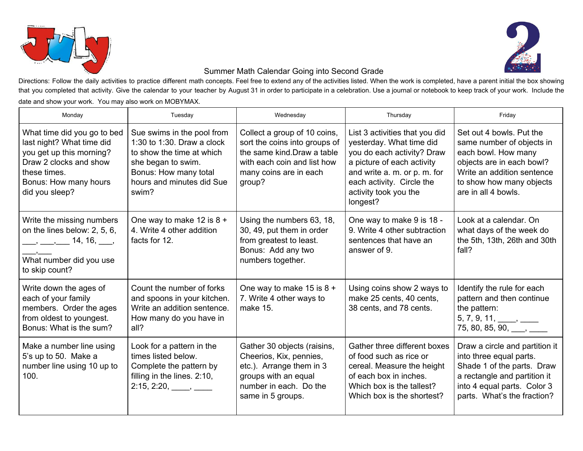



## Summer Math Calendar Going into Second Grade

Directions: Follow the daily activities to practice different math concepts. Feel free to extend any of the activities listed. When the work is completed, have a parent initial the box showing that you completed that activity. Give the calendar to your teacher by August 31 in order to participate in a celebration. Use a journal or notebook to keep track of your work. Include the date and show your work. You may also work on MOBYMAX.

| Monday                                                                                                                                                                                                                                                  | Tuesday                                                                                                                                                                    | Wednesday                                                                                                                                                       | Thursday                                                                                                                                                                                                                 | Friday                                                                                                                                                                                     |
|---------------------------------------------------------------------------------------------------------------------------------------------------------------------------------------------------------------------------------------------------------|----------------------------------------------------------------------------------------------------------------------------------------------------------------------------|-----------------------------------------------------------------------------------------------------------------------------------------------------------------|--------------------------------------------------------------------------------------------------------------------------------------------------------------------------------------------------------------------------|--------------------------------------------------------------------------------------------------------------------------------------------------------------------------------------------|
| What time did you go to bed<br>last night? What time did<br>you get up this morning?<br>Draw 2 clocks and show<br>these times.<br>Bonus: How many hours<br>did you sleep?                                                                               | Sue swims in the pool from<br>1:30 to 1:30. Draw a clock<br>to show the time at which<br>she began to swim.<br>Bonus: How many total<br>hours and minutes did Sue<br>swim? | Collect a group of 10 coins,<br>sort the coins into groups of<br>the same kind. Draw a table<br>with each coin and list how<br>many coins are in each<br>group? | List 3 activities that you did<br>yesterday. What time did<br>you do each activity? Draw<br>a picture of each activity<br>and write a. m. or p. m. for<br>each activity. Circle the<br>activity took you the<br>longest? | Set out 4 bowls. Put the<br>same number of objects in<br>each bowl. How many<br>objects are in each bowl?<br>Write an addition sentence<br>to show how many objects<br>are in all 4 bowls. |
| Write the missing numbers<br>on the lines below: 2, 5, 6,<br>$\frac{1}{2}$ , $\frac{1}{2}$ , $\frac{1}{2}$ , $\frac{1}{2}$ , $\frac{1}{2}$ , $\frac{1}{2}$ , $\frac{1}{2}$ , $\frac{1}{2}$ , $\frac{1}{2}$<br>What number did you use<br>to skip count? | One way to make 12 is $8 +$<br>4. Write 4 other addition<br>facts for 12.                                                                                                  | Using the numbers 63, 18,<br>30, 49, put them in order<br>from greatest to least.<br>Bonus: Add any two<br>numbers together.                                    | One way to make 9 is 18 -<br>9. Write 4 other subtraction<br>sentences that have an<br>answer of 9.                                                                                                                      | Look at a calendar. On<br>what days of the week do<br>the 5th, 13th, 26th and 30th<br>fall?                                                                                                |
| Write down the ages of<br>each of your family<br>members. Order the ages<br>from oldest to youngest.<br>Bonus: What is the sum?                                                                                                                         | Count the number of forks<br>and spoons in your kitchen.<br>Write an addition sentence.<br>How many do you have in<br>all?                                                 | One way to make 15 is $8 +$<br>7. Write 4 other ways to<br>make 15.                                                                                             | Using coins show 2 ways to<br>make 25 cents, 40 cents,<br>38 cents, and 78 cents.                                                                                                                                        | Identify the rule for each<br>pattern and then continue<br>the pattern:<br>$5, 7, 9, 11, \_\_\_\_\_\_\_\_\_\_\_\_\_\_\_\_\_\_\_\_$<br>$75, 80, 85, 90, \_\_\_\_$                           |
| Make a number line using<br>5's up to 50. Make a<br>number line using 10 up to<br>100.                                                                                                                                                                  | Look for a pattern in the<br>times listed below.<br>Complete the pattern by<br>filling in the lines. 2:10,                                                                 | Gather 30 objects (raisins,<br>Cheerios, Kix, pennies,<br>etc.). Arrange them in 3<br>groups with an equal<br>number in each. Do the<br>same in 5 groups.       | Gather three different boxes<br>of food such as rice or<br>cereal. Measure the height<br>of each box in inches.<br>Which box is the tallest?<br>Which box is the shortest?                                               | Draw a circle and partition it<br>into three equal parts.<br>Shade 1 of the parts. Draw<br>a rectangle and partition it<br>into 4 equal parts. Color 3<br>parts. What's the fraction?      |